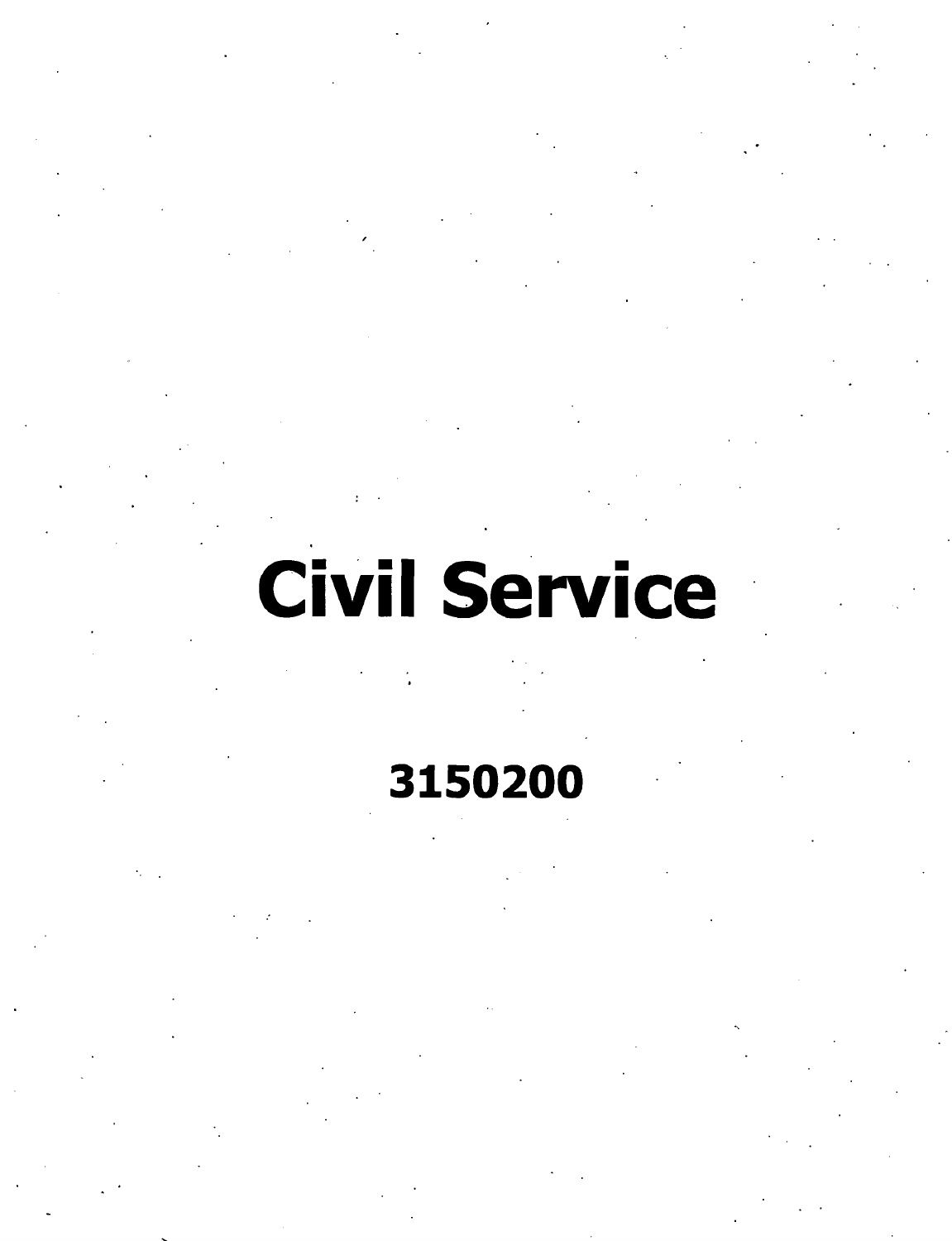# **Civil Service**

**/**

# **3150200**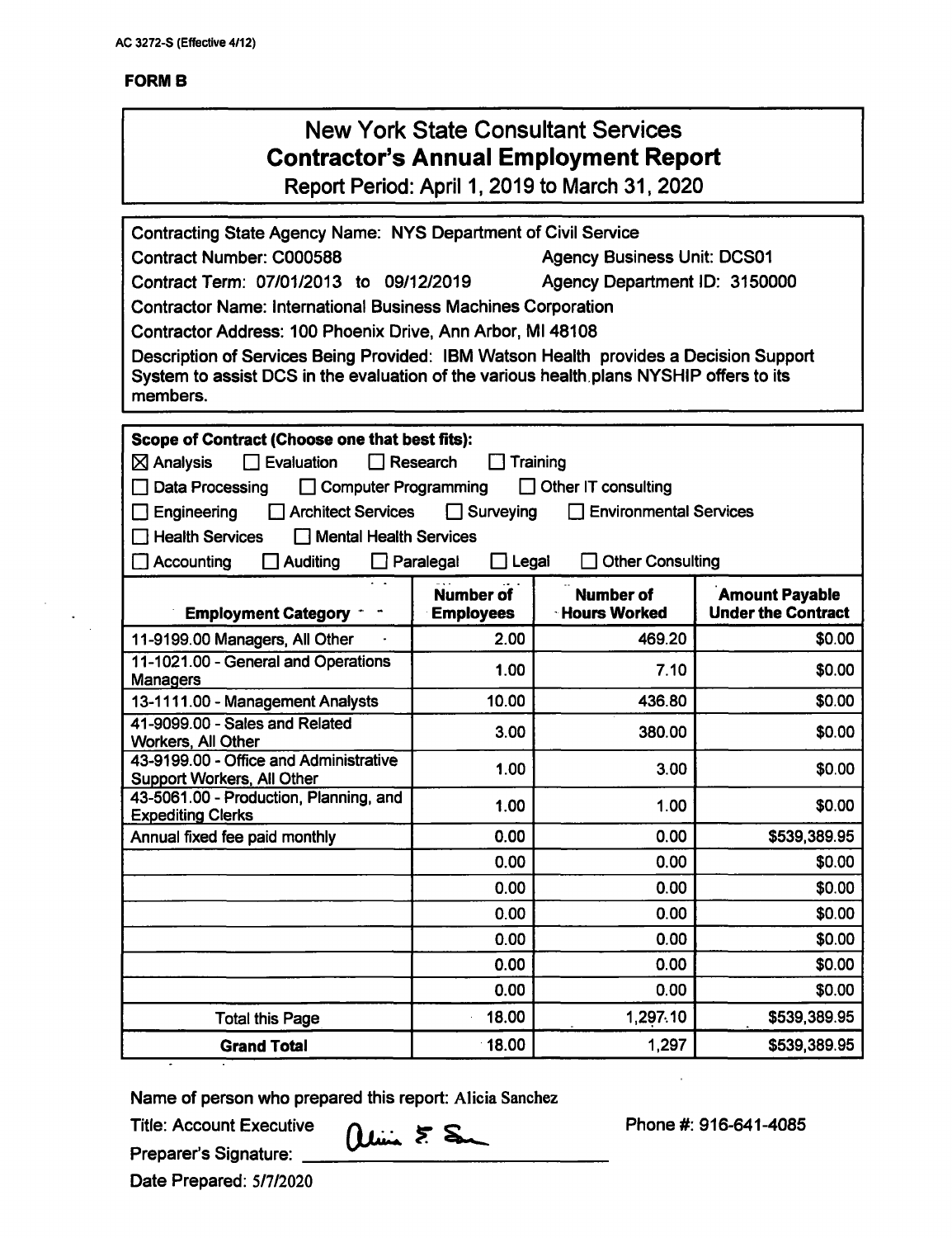$\mathcal{L}_{\mathcal{A}}$  $\mathcal{L}^{\pm}$ 

| <b>New York State Consultant Services</b><br><b>Contractor's Annual Employment Report</b><br>Report Period: April 1, 2019 to March 31, 2020                                                                                                                                                                                                                                                                                                                                                                                                       |                  |                               |                                     |  |  |
|---------------------------------------------------------------------------------------------------------------------------------------------------------------------------------------------------------------------------------------------------------------------------------------------------------------------------------------------------------------------------------------------------------------------------------------------------------------------------------------------------------------------------------------------------|------------------|-------------------------------|-------------------------------------|--|--|
| Contracting State Agency Name: NYS Department of Civil Service<br>Contract Number: C000588<br><b>Agency Business Unit: DCS01</b><br>Contract Term: 07/01/2013 to 09/12/2019<br>Agency Department ID: 3150000<br><b>Contractor Name: International Business Machines Corporation</b><br>Contractor Address: 100 Phoenix Drive, Ann Arbor, MI 48108<br>Description of Services Being Provided: IBM Watson Health provides a Decision Support<br>System to assist DCS in the evaluation of the various health plans NYSHIP offers to its<br>members. |                  |                               |                                     |  |  |
| Scope of Contract (Choose one that best fits):<br>$\Box$ Evaluation<br>Research<br>$\boxtimes$ Analysis<br>Training<br>Data Processing<br>□ Computer Programming<br>Other IT consulting<br><b>Architect Services</b><br>Surveying<br><b>Environmental Services</b><br>Engineering<br>$\mathbf{1}$<br><b>Health Services</b><br>Mental Health Services<br><b>Other Consulting</b><br>Accounting<br>$\Box$ Legal<br>Auditing<br>$\Box$ Paralegal                                                                                                    |                  |                               |                                     |  |  |
|                                                                                                                                                                                                                                                                                                                                                                                                                                                                                                                                                   | <b>Number of</b> | <b>Number of</b>              | <b>Amount Payable</b>               |  |  |
| <b>Employment Category</b><br><b>Employees</b>                                                                                                                                                                                                                                                                                                                                                                                                                                                                                                    |                  |                               |                                     |  |  |
|                                                                                                                                                                                                                                                                                                                                                                                                                                                                                                                                                   | 2.00             | <b>Hours Worked</b><br>469.20 | <b>Under the Contract</b><br>\$0.00 |  |  |
| 11-9199.00 Managers, All Other<br>11-1021.00 - General and Operations                                                                                                                                                                                                                                                                                                                                                                                                                                                                             |                  |                               |                                     |  |  |
| <b>Managers</b>                                                                                                                                                                                                                                                                                                                                                                                                                                                                                                                                   | 1.00             | 7.10                          | \$0.00                              |  |  |
| 13-1111.00 - Management Analysts                                                                                                                                                                                                                                                                                                                                                                                                                                                                                                                  | 10.00            | 436.80                        | \$0.00                              |  |  |
| 41-9099.00 - Sales and Related                                                                                                                                                                                                                                                                                                                                                                                                                                                                                                                    | 3.00             | 380.00                        | \$0.00                              |  |  |
| <b>Workers, All Other</b><br>43-9199.00 - Office and Administrative<br>Support Workers, All Other                                                                                                                                                                                                                                                                                                                                                                                                                                                 | 1.00             | 3.00                          | \$0.00                              |  |  |
| 43-5061.00 - Production, Planning, and                                                                                                                                                                                                                                                                                                                                                                                                                                                                                                            | 1.00             | 1.00                          | \$0.00                              |  |  |
| <b>Expediting Clerks</b>                                                                                                                                                                                                                                                                                                                                                                                                                                                                                                                          |                  |                               |                                     |  |  |
| Annual fixed fee paid monthly                                                                                                                                                                                                                                                                                                                                                                                                                                                                                                                     | 0.00<br>0.00     | 0.00<br>0.00                  | \$539,389.95                        |  |  |
|                                                                                                                                                                                                                                                                                                                                                                                                                                                                                                                                                   | 0.00             | 0.00                          | \$0.00<br>\$0.00                    |  |  |
|                                                                                                                                                                                                                                                                                                                                                                                                                                                                                                                                                   | 0.00             | 0.00                          | \$0.00                              |  |  |
|                                                                                                                                                                                                                                                                                                                                                                                                                                                                                                                                                   | 0.00             | 0.00                          | \$0.00                              |  |  |
|                                                                                                                                                                                                                                                                                                                                                                                                                                                                                                                                                   | 0.00             | 0.00                          | \$0.00                              |  |  |
|                                                                                                                                                                                                                                                                                                                                                                                                                                                                                                                                                   | 0.00             | 0.00                          | \$0.00                              |  |  |
| <b>Total this Page</b>                                                                                                                                                                                                                                                                                                                                                                                                                                                                                                                            | 18.00            | 1,297.10                      | \$539,389.95                        |  |  |

Name of person who prepared this report: Alicia Sanchez

Title: Account Executive

Preparer's Signature: \_

Phone #: 916-641-4085

 $\bar{z}$ 

Date Prepared: 5/7/2020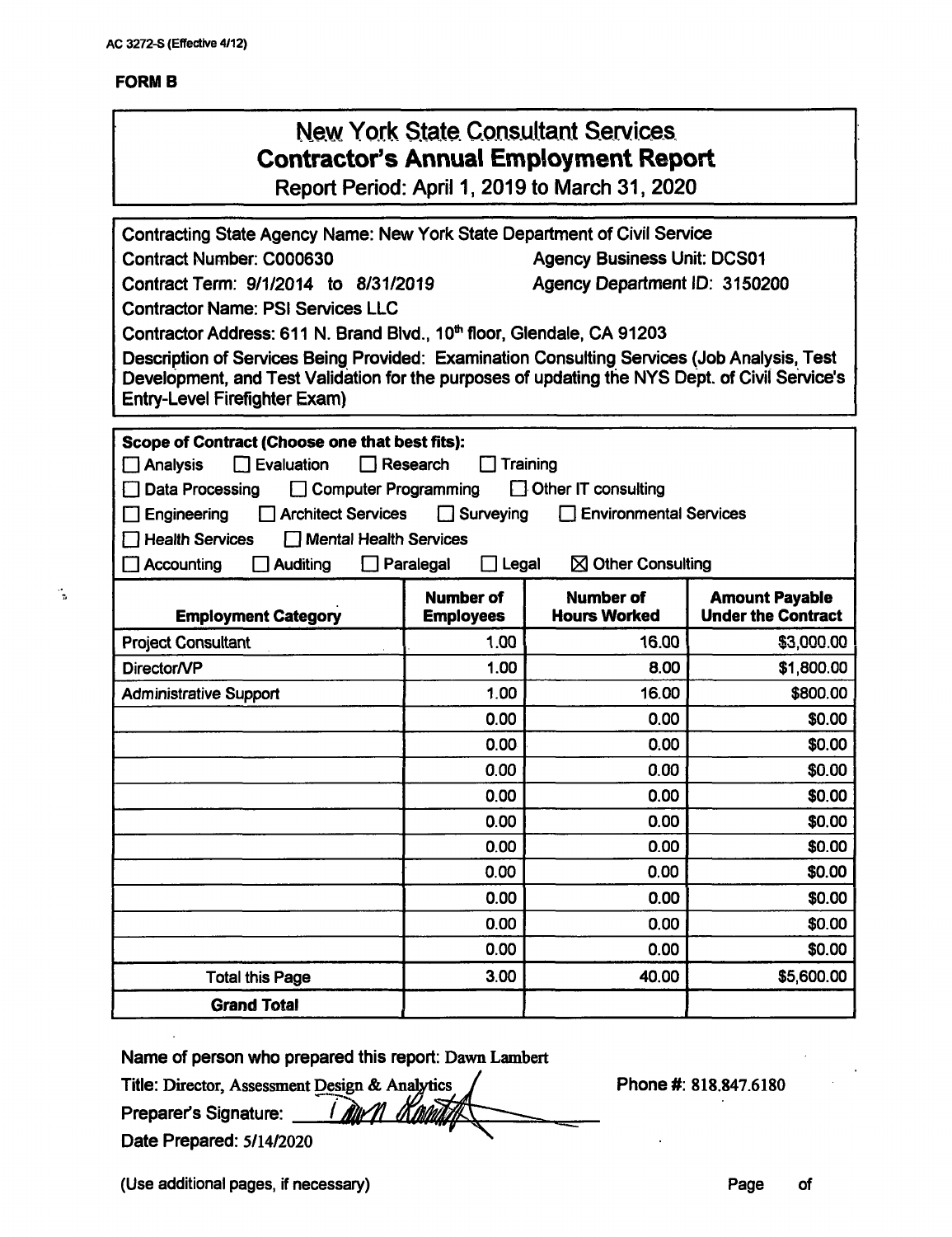### **FORMS**

 $\frac{1}{2}$ 

|                                                                                                |                                      | <b>New York State Consultant Services</b><br><b>Contractor's Annual Employment Report</b><br>Report Period: April 1, 2019 to March 31, 2020 |                                                    |  |
|------------------------------------------------------------------------------------------------|--------------------------------------|---------------------------------------------------------------------------------------------------------------------------------------------|----------------------------------------------------|--|
| Contracting State Agency Name: New York State Department of Civil Service                      |                                      |                                                                                                                                             |                                                    |  |
| Contract Number: C000630<br><b>Agency Business Unit: DCS01</b>                                 |                                      |                                                                                                                                             |                                                    |  |
| Agency Department ID: 3150200<br>Contract Term: 9/1/2014 to 8/31/2019                          |                                      |                                                                                                                                             |                                                    |  |
| <b>Contractor Name: PSI Services LLC</b>                                                       |                                      |                                                                                                                                             |                                                    |  |
| Contractor Address: 611 N. Brand Blvd., 10 <sup>th</sup> floor, Glendale, CA 91203             |                                      |                                                                                                                                             |                                                    |  |
| Description of Services Being Provided: Examination Consulting Services (Job Analysis, Test    |                                      |                                                                                                                                             |                                                    |  |
| Development, and Test Validation for the purposes of updating the NYS Dept. of Civil Service's |                                      |                                                                                                                                             |                                                    |  |
| <b>Entry-Level Firefighter Exam)</b>                                                           |                                      |                                                                                                                                             |                                                    |  |
| Scope of Contract (Choose one that best fits):                                                 |                                      |                                                                                                                                             |                                                    |  |
| $\Box$ Evaluation<br>$\Box$ Analysis                                                           | Research                             | Training                                                                                                                                    |                                                    |  |
| Data Processing<br><b>Computer Programming</b>                                                 |                                      | Other IT consulting                                                                                                                         |                                                    |  |
| <b>Architect Services</b><br>$\Box$ Engineering                                                | $\Box$ Surveying                     | <b>Environmental Services</b>                                                                                                               |                                                    |  |
| $\Box$ Health Services<br><b>Mental Health Services</b>                                        |                                      |                                                                                                                                             |                                                    |  |
| $\Box$ Accounting<br>Auditing                                                                  | $\Box$ Legal<br>Paralegal            | $\boxtimes$ Other Consulting                                                                                                                |                                                    |  |
| <b>Employment Category</b>                                                                     | <b>Number of</b><br><b>Employees</b> | <b>Number of</b><br><b>Hours Worked</b>                                                                                                     | <b>Amount Payable</b><br><b>Under the Contract</b> |  |
| <b>Project Consultant</b>                                                                      | 1.00                                 | 16.00                                                                                                                                       | \$3,000.00                                         |  |
| Director/VP                                                                                    | 1.00                                 | 8.00                                                                                                                                        | \$1,800.00                                         |  |
| <b>Administrative Support</b>                                                                  | 1.00                                 | 16.00                                                                                                                                       | \$800.00                                           |  |
|                                                                                                | 0.00                                 | 0.00                                                                                                                                        | \$0.00                                             |  |
|                                                                                                | 0.00                                 | 0.00                                                                                                                                        | \$0.00                                             |  |
|                                                                                                | 0.00                                 | 0.00                                                                                                                                        | \$0.00                                             |  |
|                                                                                                | 0.00                                 | 0.00                                                                                                                                        | \$0.00                                             |  |
|                                                                                                | 0.00                                 | 0.00                                                                                                                                        | \$0.00                                             |  |
|                                                                                                | 0.00                                 | 0.00                                                                                                                                        | \$0.00                                             |  |
|                                                                                                | 0.00                                 | 0.00                                                                                                                                        | \$0.00                                             |  |
|                                                                                                | 0.00                                 | 0.00                                                                                                                                        | \$0.00                                             |  |
|                                                                                                | 0.00                                 | 0.00                                                                                                                                        | \$0.00                                             |  |
|                                                                                                | 0.00                                 | 0.00                                                                                                                                        | \$0.00                                             |  |
| <b>Total this Page</b>                                                                         | 3.00                                 | 40.00                                                                                                                                       | \$5,600.00                                         |  |
| <b>Grand Total</b>                                                                             |                                      |                                                                                                                                             |                                                    |  |

**Name of person who prepared this report:** Dawn Lambert

**Title: Director, Assessment Design & Analytics Preparer's Signature:** <u>| Alle</u> **Date Prepared:** 5/14/2020

Phone #: 818.847.6180

(Use additional pages, if necessary) example of the example of the example of the example of the example of the example of the example of the example of the example of the example of the example of the example of the examp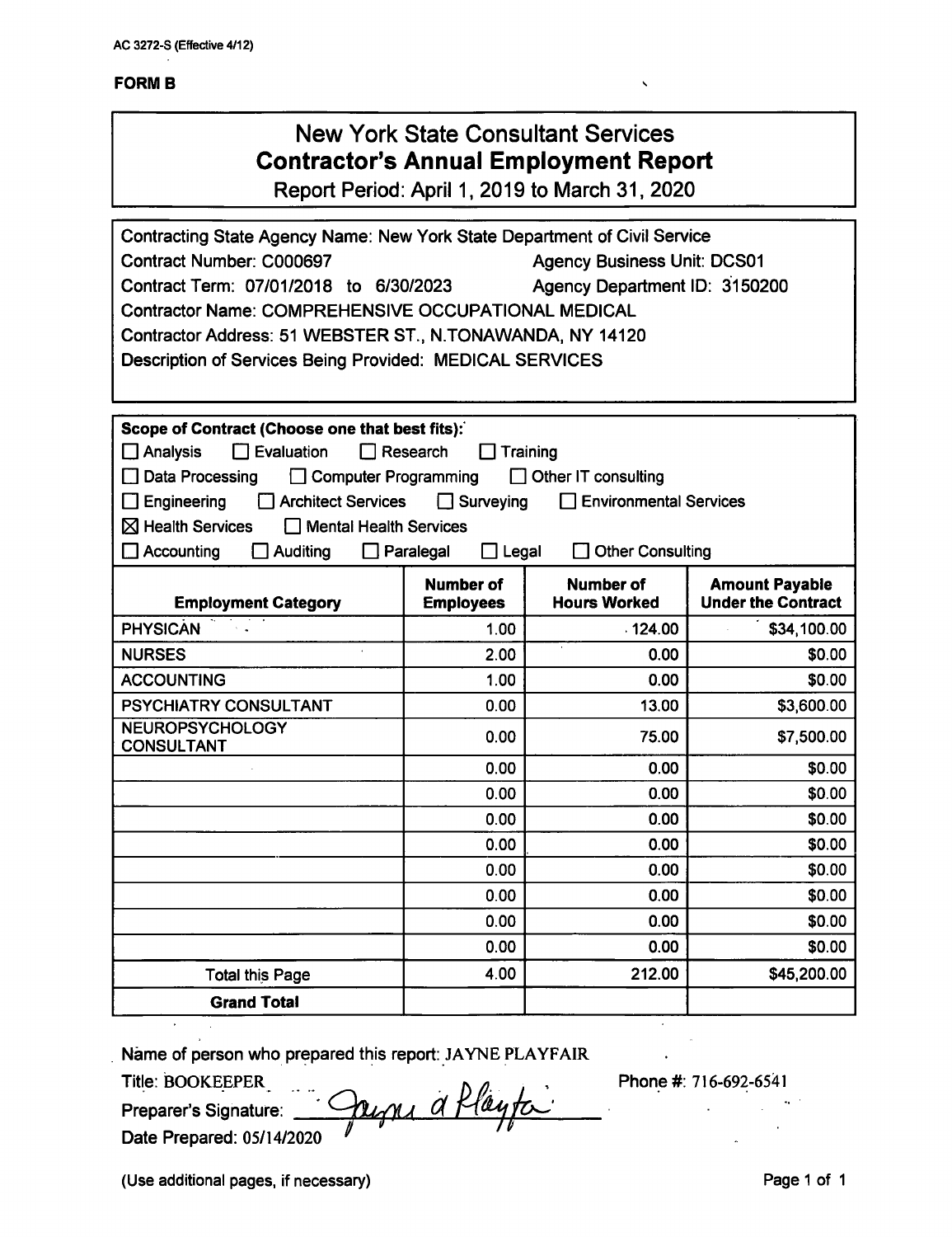# New York State Consultant Services **Contractor's Annual Employment Report**

Report Period: April 1,2019 to March 31, 2020

| Contracting State Agency Name: New York State Department of Civil Service |                                      |                                         |                                                    |  |  |
|---------------------------------------------------------------------------|--------------------------------------|-----------------------------------------|----------------------------------------------------|--|--|
| Contract Number: C000697<br><b>Agency Business Unit: DCS01</b>            |                                      |                                         |                                                    |  |  |
| Contract Term: 07/01/2018 to 6/30/2023<br>Agency Department ID: 3150200   |                                      |                                         |                                                    |  |  |
| <b>Contractor Name: COMPREHENSIVE OCCUPATIONAL MEDICAL</b>                |                                      |                                         |                                                    |  |  |
| Contractor Address: 51 WEBSTER ST., N.TONAWANDA, NY 14120                 |                                      |                                         |                                                    |  |  |
| Description of Services Being Provided: MEDICAL SERVICES                  |                                      |                                         |                                                    |  |  |
|                                                                           |                                      |                                         |                                                    |  |  |
|                                                                           |                                      |                                         |                                                    |  |  |
| Scope of Contract (Choose one that best fits):                            |                                      |                                         |                                                    |  |  |
| $\square$ Analysis<br>$\Box$ Evaluation                                   | $\Box$ Research                      | Training                                |                                                    |  |  |
| Data Processing<br>□ Computer Programming                                 |                                      | $\Box$ Other IT consulting              |                                                    |  |  |
| Engineering<br>Architect Services                                         | Surveying                            | <b>Environmental Services</b>           |                                                    |  |  |
| $\boxtimes$ Health Services<br>Mental Health Services                     |                                      |                                         |                                                    |  |  |
| $\Box$ Accounting<br>Auditing                                             | $\Box$ Paralegal<br>$\Box$ Legal     | <b>Other Consulting</b>                 |                                                    |  |  |
| <b>Employment Category</b>                                                | <b>Number of</b><br><b>Employees</b> | <b>Number of</b><br><b>Hours Worked</b> | <b>Amount Payable</b><br><b>Under the Contract</b> |  |  |
| <b>PHYSICAN</b>                                                           | 1.00                                 | .124.00                                 | \$34,100.00                                        |  |  |
| <b>NURSES</b>                                                             | 2.00                                 | 0.00                                    | \$0.00                                             |  |  |
| <b>ACCOUNTING</b>                                                         | 1.00                                 | 0.00                                    | \$0.00                                             |  |  |
| PSYCHIATRY CONSULTANT                                                     | 0.00                                 | 13.00                                   | \$3,600.00                                         |  |  |
| <b>NEUROPSYCHOLOGY</b><br><b>CONSULTANT</b>                               | 0.00                                 | 75.00                                   | \$7,500.00                                         |  |  |
|                                                                           | 0.00                                 | 0.00                                    | \$0.00                                             |  |  |
|                                                                           | 0.00                                 | 0.00                                    | \$0.00                                             |  |  |
|                                                                           | 0.00                                 | 0.00                                    | \$0.00                                             |  |  |
|                                                                           | 0.00                                 | 0.00                                    | \$0.00                                             |  |  |
|                                                                           | 0.00                                 | 0.00                                    | \$0.00                                             |  |  |
|                                                                           | 0.00                                 | 0.00                                    | \$0.00                                             |  |  |
|                                                                           | 0.00                                 | 0.00                                    | \$0.00                                             |  |  |
|                                                                           | 0.00                                 | 0.00                                    | \$0.00                                             |  |  |
| <b>Total this Page</b>                                                    | 4.00                                 | 212.00                                  | \$45,200.00                                        |  |  |
| <b>Grand Total</b>                                                        |                                      |                                         |                                                    |  |  |

Name of person who prepared this report: JAYNE PLAYFAIR

Title: BOOKEEPER..........

Preparer's Signature: Date Prepared: 05/14/2020 <u>Jayns a flayta</u>

Phone #: 716-692-6541

(Use additional pages, if necessary) example the state of the Page 1 of 1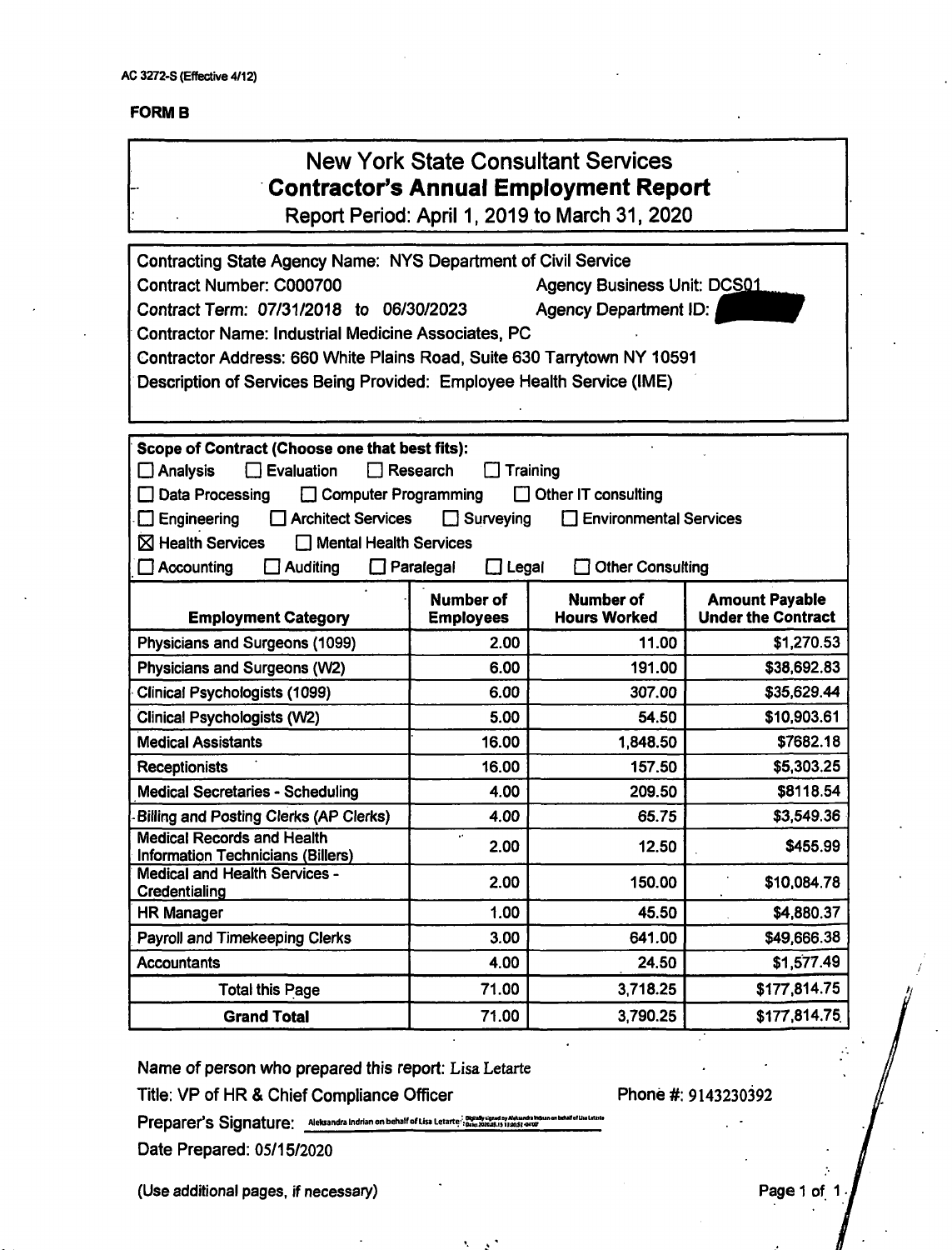# New York State Consultant Services **Contractor's Annual Employment Report**

Report Period: April 1, 2019 to March 31, 2020

| Contracting State Agency Name: NYS Department of Civil Service<br>Contract Number: C000700<br>Contract Term: 07/31/2018 to 06/30/2023<br><b>Contractor Name: Industrial Medicine Associates, PC</b><br>Contractor Address: 660 White Plains Road, Suite 630 Tarrytown NY 10591<br>Description of Services Being Provided: Employee Health Service (IME) |                                      | <b>Agency Business Unit: DCS01</b><br><b>Agency Department ID:</b> |                                                    |
|---------------------------------------------------------------------------------------------------------------------------------------------------------------------------------------------------------------------------------------------------------------------------------------------------------------------------------------------------------|--------------------------------------|--------------------------------------------------------------------|----------------------------------------------------|
| Scope of Contract (Choose one that best fits):                                                                                                                                                                                                                                                                                                          |                                      |                                                                    |                                                    |
| Evaluation<br>$\square$ Analysis                                                                                                                                                                                                                                                                                                                        | Research                             | Training                                                           |                                                    |
| Data Processing<br><b>Computer Programming</b><br>$\Box$ Architect Services<br>Engineering                                                                                                                                                                                                                                                              | $\Box$ Surveying                     | Other IT consulting<br><b>Environmental Services</b>               |                                                    |
| $\boxtimes$ Health Services<br><b>Mental Health Services</b>                                                                                                                                                                                                                                                                                            |                                      |                                                                    |                                                    |
| □ Accounting<br><b>Auditing</b>                                                                                                                                                                                                                                                                                                                         | $\Box$ Legal<br>Paralegal            | Other Consulting                                                   |                                                    |
|                                                                                                                                                                                                                                                                                                                                                         |                                      |                                                                    |                                                    |
| <b>Employment Category</b>                                                                                                                                                                                                                                                                                                                              | <b>Number of</b><br><b>Employees</b> | Number of<br><b>Hours Worked</b>                                   | <b>Amount Payable</b><br><b>Under the Contract</b> |
| Physicians and Surgeons (1099)                                                                                                                                                                                                                                                                                                                          | 2.00                                 | 11.00                                                              | \$1,270.53                                         |
| Physicians and Surgeons (W2)                                                                                                                                                                                                                                                                                                                            | 6.00                                 | 191.00                                                             | \$38,692.83                                        |
| Clinical Psychologists (1099)                                                                                                                                                                                                                                                                                                                           | 6.00                                 | 307.00                                                             | \$35,629.44                                        |
| <b>Clinical Psychologists (W2)</b>                                                                                                                                                                                                                                                                                                                      | 5.00                                 | 54.50                                                              | \$10,903.61                                        |
| <b>Medical Assistants</b>                                                                                                                                                                                                                                                                                                                               | 16.00                                | 1,848.50                                                           | \$7682.18                                          |
| <b>Receptionists</b>                                                                                                                                                                                                                                                                                                                                    | 16.00                                | 157.50                                                             | \$5,303.25                                         |
| <b>Medical Secretaries - Scheduling</b>                                                                                                                                                                                                                                                                                                                 | 4.00                                 | 209.50                                                             | \$8118.54                                          |
| <b>Billing and Posting Clerks (AP Clerks)</b>                                                                                                                                                                                                                                                                                                           | 4.00                                 | 65.75                                                              | \$3,549.36                                         |
| <b>Medical Records and Health</b><br><b>Information Technicians (Billers)</b>                                                                                                                                                                                                                                                                           | 2.00                                 | 12.50                                                              | \$455.99                                           |
| <b>Medical and Health Services -</b><br>Credentialing                                                                                                                                                                                                                                                                                                   | 2.00                                 | 150.00                                                             | \$10,084.78                                        |
| <b>HR Manager</b>                                                                                                                                                                                                                                                                                                                                       | 1.00                                 | 45.50                                                              | \$4,880.37                                         |
| Payroll and Timekeeping Clerks                                                                                                                                                                                                                                                                                                                          | 3.00                                 | 641.00                                                             | \$49,666.38                                        |
| <b>Accountants</b>                                                                                                                                                                                                                                                                                                                                      | 4.00                                 | 24.50                                                              | \$1,577.49                                         |
| <b>Total this Page</b>                                                                                                                                                                                                                                                                                                                                  | 71.00                                | 3,718.25                                                           | \$177,814.75                                       |
| <b>Grand Total</b>                                                                                                                                                                                                                                                                                                                                      | 71.00                                | 3,790.25                                                           | \$177,814.75                                       |

**Name of person who prepared this report: Lisa Letarte**

**Title: VP of HR & Chief Compliance Officer**

**Phone #: 9143230392**

**Preparer's Signature: Alelmndramjiianonbel»lfofUs. Letarte.',g»;SS**

**Date Prepared: 05/15/2020**

**(Use additional pages, if necessary) Page <sup>1</sup> of <sup>1</sup> •**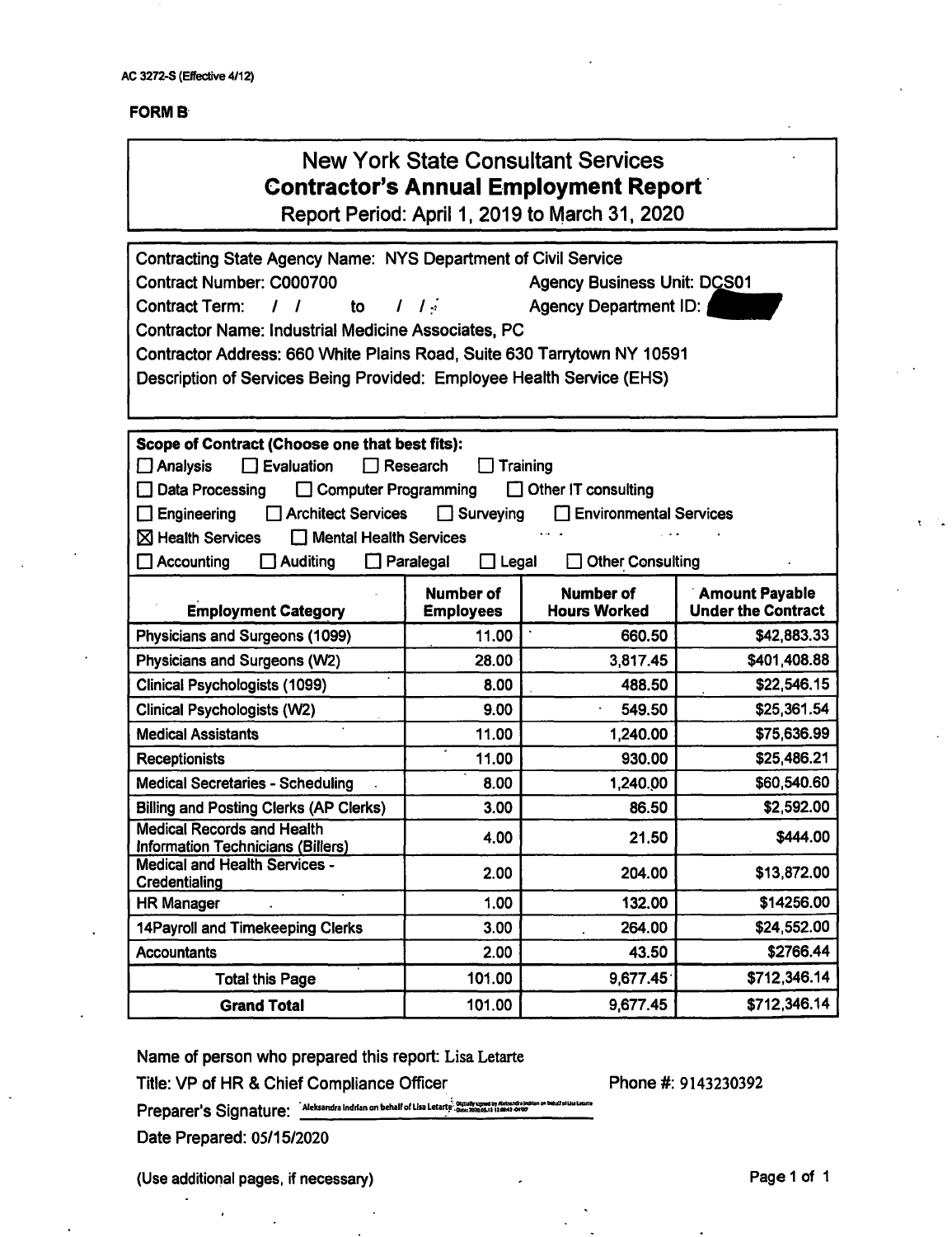| <b>New York State Consultant Services</b> |  |  |
|-------------------------------------------|--|--|
| Contractor's Annual Employment Report i   |  |  |

Report Period: April 1, 2019 to March 31, 2020

| Contracting State Agency Name: NYS Department of Civil Service<br>Contract Number: C000700<br><b>Agency Business Unit: DCS01</b><br><b>Contract Term:</b><br>$\mathcal{L}$<br>to<br><b>Agency Department ID:</b><br>1<br>1<br>L<br><b>Contractor Name: Industrial Medicine Associates, PC</b><br>Contractor Address: 660 White Plains Road, Suite 630 Tarrytown NY 10591<br>Description of Services Being Provided: Employee Health Service (EHS)      |                                      |                                  |                                                    |  |
|--------------------------------------------------------------------------------------------------------------------------------------------------------------------------------------------------------------------------------------------------------------------------------------------------------------------------------------------------------------------------------------------------------------------------------------------------------|--------------------------------------|----------------------------------|----------------------------------------------------|--|
| Scope of Contract (Choose one that best fits):<br>$\square$ Evaluation<br>Research<br>Training<br>$\square$ Analysis<br>Computer Programming<br>Data Processing<br>Other IT consulting<br>Engineering<br><b>Architect Services</b><br>Surveying<br><b>Environmental Services</b><br>LΙ<br>$\boxtimes$ Health Services<br>Mental Health Services<br>$\Box$ Accounting<br>$\Box$ Auditing<br>$\Box$ Paralegal<br>$\Box$ Legal<br><b>Other Consulting</b> |                                      |                                  |                                                    |  |
| <b>Employment Category</b>                                                                                                                                                                                                                                                                                                                                                                                                                             | <b>Number of</b><br><b>Employees</b> | Number of<br><b>Hours Worked</b> | <b>Amount Payable</b><br><b>Under the Contract</b> |  |
| Physicians and Surgeons (1099)                                                                                                                                                                                                                                                                                                                                                                                                                         | 11.00                                | 660.50                           | \$42,883.33                                        |  |
| Physicians and Surgeons (W2)                                                                                                                                                                                                                                                                                                                                                                                                                           | 28.00                                | 3,817.45                         | \$401,408.88                                       |  |
| Clinical Psychologists (1099)                                                                                                                                                                                                                                                                                                                                                                                                                          | 8.00                                 | 488.50                           | \$22,546.15                                        |  |
| <b>Clinical Psychologists (W2)</b>                                                                                                                                                                                                                                                                                                                                                                                                                     | 9.00                                 | 549.50                           | \$25,361.54                                        |  |
| <b>Medical Assistants</b>                                                                                                                                                                                                                                                                                                                                                                                                                              | 11.00                                | 1,240.00                         | \$75,636.99                                        |  |
| <b>Receptionists</b>                                                                                                                                                                                                                                                                                                                                                                                                                                   | 11.00                                | 930.00                           | \$25,486.21                                        |  |
| <b>Medical Secretaries - Scheduling</b>                                                                                                                                                                                                                                                                                                                                                                                                                | 8.00                                 | 1,240.00                         | \$60,540.60                                        |  |
| <b>Billing and Posting Clerks (AP Clerks)</b>                                                                                                                                                                                                                                                                                                                                                                                                          | 3.00                                 | 86.50                            | \$2,592.00                                         |  |
| <b>Medical Records and Health</b><br>Information Technicians (Billers)                                                                                                                                                                                                                                                                                                                                                                                 | 4.00                                 | 21.50                            | \$444.00                                           |  |
| <b>Medical and Health Services -</b><br>Credentialing                                                                                                                                                                                                                                                                                                                                                                                                  | 2.00                                 | 204.00                           | \$13,872.00                                        |  |
| <b>HR Manager</b>                                                                                                                                                                                                                                                                                                                                                                                                                                      | 1.00                                 | 132.00                           | \$14256.00                                         |  |
| 14Payroll and Timekeeping Clerks                                                                                                                                                                                                                                                                                                                                                                                                                       | 3.00                                 | 264.00                           | \$24,552.00                                        |  |
| <b>Accountants</b>                                                                                                                                                                                                                                                                                                                                                                                                                                     | 2.00                                 | 43.50                            | \$2766.44                                          |  |
| <b>Total this Page</b>                                                                                                                                                                                                                                                                                                                                                                                                                                 | 101.00                               | 9,677.45                         | \$712,346.14                                       |  |
| <b>Grand Total</b>                                                                                                                                                                                                                                                                                                                                                                                                                                     | 101.00                               | 9,677.45                         | \$712,346.14                                       |  |

**Name of person who prepared this report: Lisa Letarte**

**Title: VP of HR & Chief Compiiance Officer**

**Phone #: 9143230392**

Preparer's Signature: Aleksandra Indrian on behalf of Lisa Letarte'. Contributed and the property between the ball of the method of the state of the state of the state of the state of the state of the state of the state of

**Date Prepared: 05/15/2020**

**(Use additional pages, if necessary) Page <sup>1</sup> of <sup>1</sup>**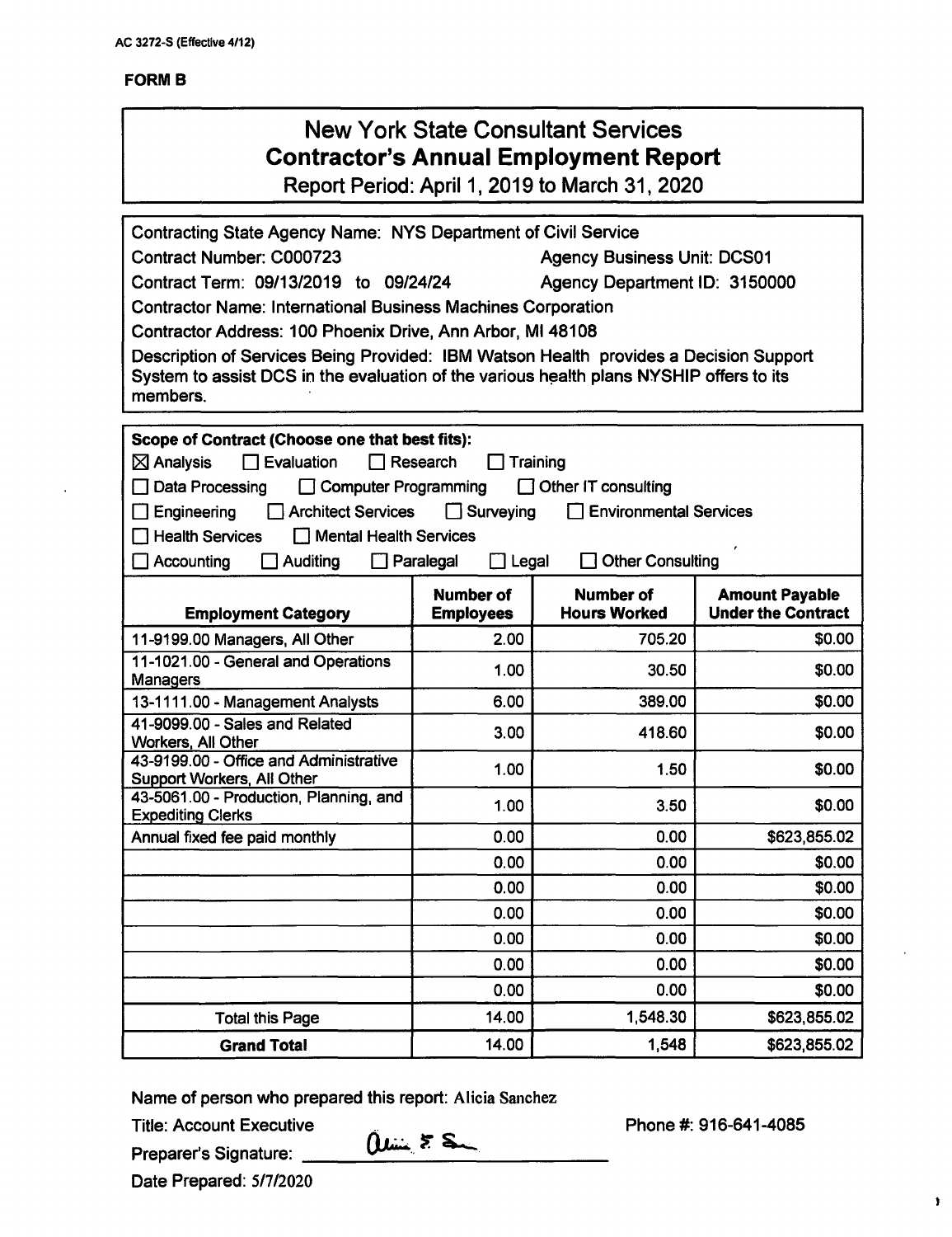| <b>New York State Consultant Services</b><br><b>Contractor's Annual Employment Report</b><br>Report Period: April 1, 2019 to March 31, 2020                                                                                                                                                                                                                                                                                                                                                                                                     |                          |                                         |                                                    |  |
|-------------------------------------------------------------------------------------------------------------------------------------------------------------------------------------------------------------------------------------------------------------------------------------------------------------------------------------------------------------------------------------------------------------------------------------------------------------------------------------------------------------------------------------------------|--------------------------|-----------------------------------------|----------------------------------------------------|--|
| Contracting State Agency Name: NYS Department of Civil Service<br>Contract Number: C000723<br><b>Agency Business Unit: DCS01</b><br>Contract Term: 09/13/2019 to 09/24/24<br>Agency Department ID: 3150000<br><b>Contractor Name: International Business Machines Corporation</b><br>Contractor Address: 100 Phoenix Drive, Ann Arbor, MI 48108<br>Description of Services Being Provided: IBM Watson Health provides a Decision Support<br>System to assist DCS in the evaluation of the various health plans NYSHIP offers to its<br>members. |                          |                                         |                                                    |  |
| Scope of Contract (Choose one that best fits):<br>$\boxtimes$ Analysis<br>$\Box$ Evaluation<br>$\Box$ Research<br>Training<br>Data Processing<br>□ Computer Programming<br>$\Box$ Other IT consulting<br><b>Architect Services</b><br>$\Box$ Surveying<br><b>Environmental Services</b><br>Engineering<br><b>Health Services</b><br>Mental Health Services<br><b>Other Consulting</b><br>$\Box$ Legal<br>Accounting<br>Auditing<br>$\Box$ Paralegal                                                                                             |                          |                                         |                                                    |  |
|                                                                                                                                                                                                                                                                                                                                                                                                                                                                                                                                                 | <b>Number of</b>         |                                         |                                                    |  |
|                                                                                                                                                                                                                                                                                                                                                                                                                                                                                                                                                 |                          | <b>Number of</b><br><b>Hours Worked</b> | <b>Amount Payable</b><br><b>Under the Contract</b> |  |
| <b>Employment Category</b>                                                                                                                                                                                                                                                                                                                                                                                                                                                                                                                      | <b>Employees</b><br>2.00 | 705.20                                  |                                                    |  |
| 11-9199.00 Managers, All Other<br>11-1021.00 - General and Operations                                                                                                                                                                                                                                                                                                                                                                                                                                                                           |                          |                                         | \$0.00                                             |  |
| <b>Managers</b>                                                                                                                                                                                                                                                                                                                                                                                                                                                                                                                                 | 1.00                     | 30.50                                   | \$0.00                                             |  |
| 13-1111.00 - Management Analysts                                                                                                                                                                                                                                                                                                                                                                                                                                                                                                                | 6.00                     | 389.00                                  | \$0.00                                             |  |
| 41-9099.00 - Sales and Related                                                                                                                                                                                                                                                                                                                                                                                                                                                                                                                  | 3.00                     | 418.60                                  | \$0.00                                             |  |
| Workers, All Other<br>43-9199.00 - Office and Administrative<br>Support Workers, All Other                                                                                                                                                                                                                                                                                                                                                                                                                                                      | 1.00                     | 1.50                                    | \$0.00                                             |  |
| 43-5061.00 - Production, Planning, and                                                                                                                                                                                                                                                                                                                                                                                                                                                                                                          | 1.00                     | 3.50                                    | \$0.00                                             |  |
| <b>Expediting Clerks</b><br>Annual fixed fee paid monthly                                                                                                                                                                                                                                                                                                                                                                                                                                                                                       | 0.00                     | 0.00                                    | \$623,855.02                                       |  |
|                                                                                                                                                                                                                                                                                                                                                                                                                                                                                                                                                 | 0.00                     | 0.00                                    | \$0.00                                             |  |
|                                                                                                                                                                                                                                                                                                                                                                                                                                                                                                                                                 | 0.00                     | 0.00                                    | \$0.00                                             |  |
|                                                                                                                                                                                                                                                                                                                                                                                                                                                                                                                                                 | 0.00                     | 0.00                                    | \$0.00                                             |  |
|                                                                                                                                                                                                                                                                                                                                                                                                                                                                                                                                                 | 0.00                     | 0.00                                    | \$0.00                                             |  |
|                                                                                                                                                                                                                                                                                                                                                                                                                                                                                                                                                 | 0.00                     | 0.00                                    | \$0.00                                             |  |
|                                                                                                                                                                                                                                                                                                                                                                                                                                                                                                                                                 | 0.00                     | 0.00                                    | \$0.00                                             |  |
| <b>Total this Page</b>                                                                                                                                                                                                                                                                                                                                                                                                                                                                                                                          | 14.00                    | 1,548.30                                | \$623,855.02                                       |  |

Name of person who prepared this report: Alicia Sanchez

Title: Account Executive

Preparer's Signature:

 $0$ line  $55$ 

Phone #: 916-641-4085

Date Prepared: 5/7/2020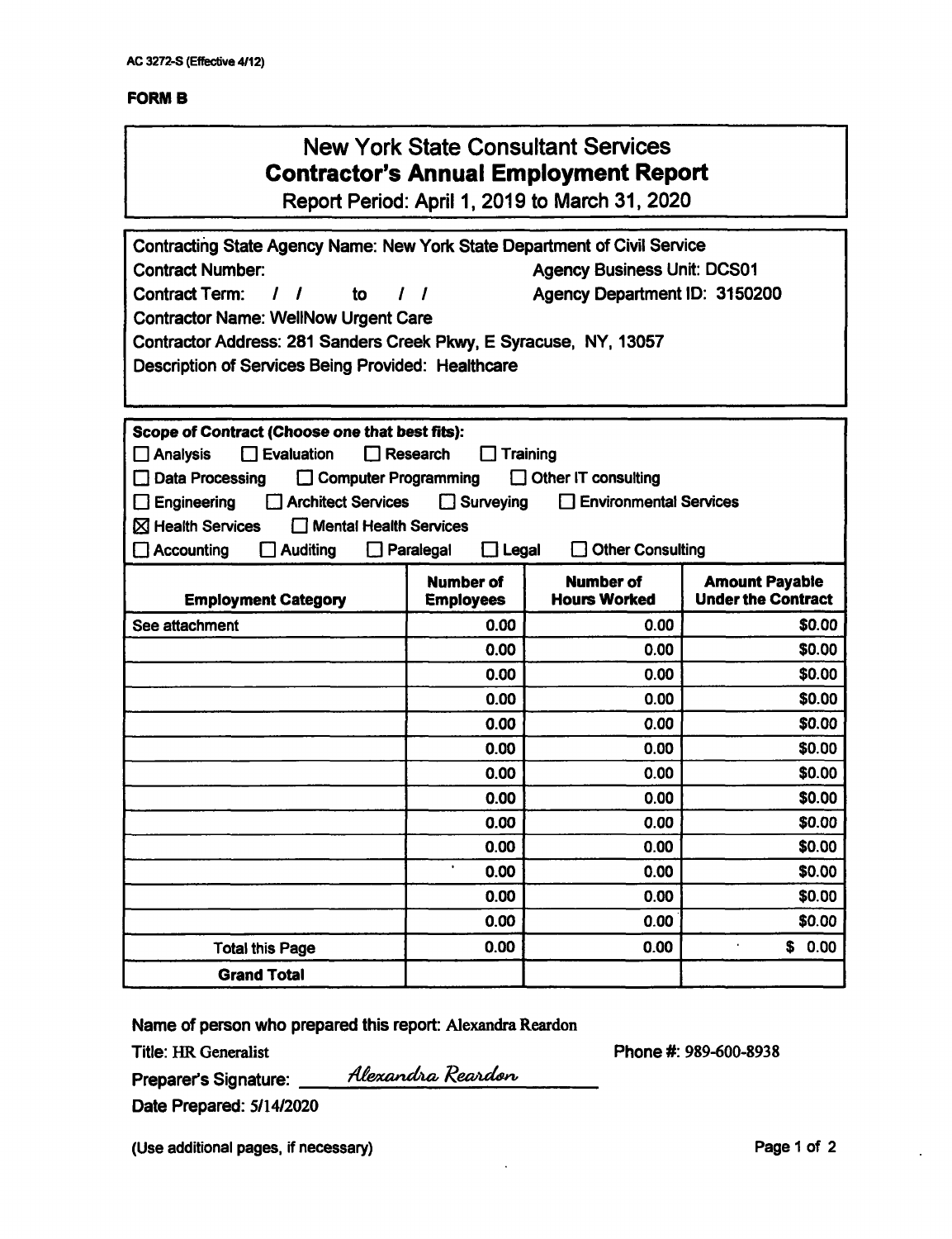| <b>New York State Consultant Services</b><br><b>Contractor's Annual Employment Report</b><br>Report Period: April 1, 2019 to March 31, 2020                                                                                                                                                                                                                                                                                                  |                                      |                                         |                                                    |  |
|----------------------------------------------------------------------------------------------------------------------------------------------------------------------------------------------------------------------------------------------------------------------------------------------------------------------------------------------------------------------------------------------------------------------------------------------|--------------------------------------|-----------------------------------------|----------------------------------------------------|--|
| Contracting State Agency Name: New York State Department of Civil Service<br><b>Contract Number:</b><br><b>Agency Business Unit: DCS01</b><br><b>Contract Term:</b><br>Agency Department ID: 3150200<br>$\prime$<br>to<br>$\sqrt{ }$<br>1<br><b>Contractor Name: WellNow Urgent Care</b><br>Contractor Address: 281 Sanders Creek Pkwy, E Syracuse, NY, 13057<br>Description of Services Being Provided: Healthcare                          |                                      |                                         |                                                    |  |
| Scope of Contract (Choose one that best fits):<br>Evaluation<br>Research<br><b>Analysis</b><br>П<br>Training<br><b>Computer Programming</b><br><b>Other IT consulting</b><br>Data Processing<br><b>Architect Services</b><br>$\Box$ Surveying<br><b>Environmental Services</b><br>Engineering<br><b>X</b> Health Services<br>Mental Health Services<br><b>Other Consulting</b><br><b>Accounting</b><br><b>Auditing</b><br>Paralegal<br>Legal |                                      |                                         |                                                    |  |
|                                                                                                                                                                                                                                                                                                                                                                                                                                              |                                      |                                         |                                                    |  |
| <b>Employment Category</b>                                                                                                                                                                                                                                                                                                                                                                                                                   | <b>Number of</b><br><b>Employees</b> | <b>Number of</b><br><b>Hours Worked</b> | <b>Amount Payable</b><br><b>Under the Contract</b> |  |
| See attachment                                                                                                                                                                                                                                                                                                                                                                                                                               | 0.00                                 | 0.00                                    | \$0.00                                             |  |
|                                                                                                                                                                                                                                                                                                                                                                                                                                              | 0.00                                 | 0.00                                    | \$0.00                                             |  |
|                                                                                                                                                                                                                                                                                                                                                                                                                                              | 0.00                                 | 0.00                                    | \$0.00                                             |  |
|                                                                                                                                                                                                                                                                                                                                                                                                                                              | 0.00                                 | 0.00                                    | \$0.00                                             |  |
|                                                                                                                                                                                                                                                                                                                                                                                                                                              | 0.00                                 | 0.00                                    | \$0.00                                             |  |
|                                                                                                                                                                                                                                                                                                                                                                                                                                              | 0.00                                 | 0.00                                    | \$0.00                                             |  |
|                                                                                                                                                                                                                                                                                                                                                                                                                                              | 0.00                                 | 0.00                                    | \$0.00                                             |  |
|                                                                                                                                                                                                                                                                                                                                                                                                                                              | 0.00                                 | 0.00                                    | \$0.00                                             |  |
|                                                                                                                                                                                                                                                                                                                                                                                                                                              | 0.00                                 | 0.00                                    | \$0.00                                             |  |
|                                                                                                                                                                                                                                                                                                                                                                                                                                              | 0.00                                 | 0.00                                    | \$0.00                                             |  |
|                                                                                                                                                                                                                                                                                                                                                                                                                                              | ¥,<br>0.00                           | 0.00                                    | \$0.00                                             |  |
|                                                                                                                                                                                                                                                                                                                                                                                                                                              | 0.00                                 | 0.00                                    | \$0.00                                             |  |
|                                                                                                                                                                                                                                                                                                                                                                                                                                              | 0.00                                 | 0.00                                    | \$0.00<br>$\bullet$                                |  |
| <b>Total this Page</b><br><b>Grand Total</b>                                                                                                                                                                                                                                                                                                                                                                                                 | 0.00                                 | 0.00                                    | \$<br>0.00                                         |  |

Name of person who prepared this report: Alexandra Reardon

Alexandra Reardon

Title: HR Generalist

Phone#: 989-600-8938

**Preparer's Signature:**\_\_

**Date Prepared:** S/14/2020

(Use additional pages, if necessary) example 2 and 2 and 2 and 2 and 2 and 2 and 2 and 2 and 2 and 2 and 2 and 2 and 2 and 2 and 2 and 2 and 2 and 2 and 2 and 2 and 2 and 2 and 2 and 2 and 2 and 2 and 2 and 2 and 2 and 2 a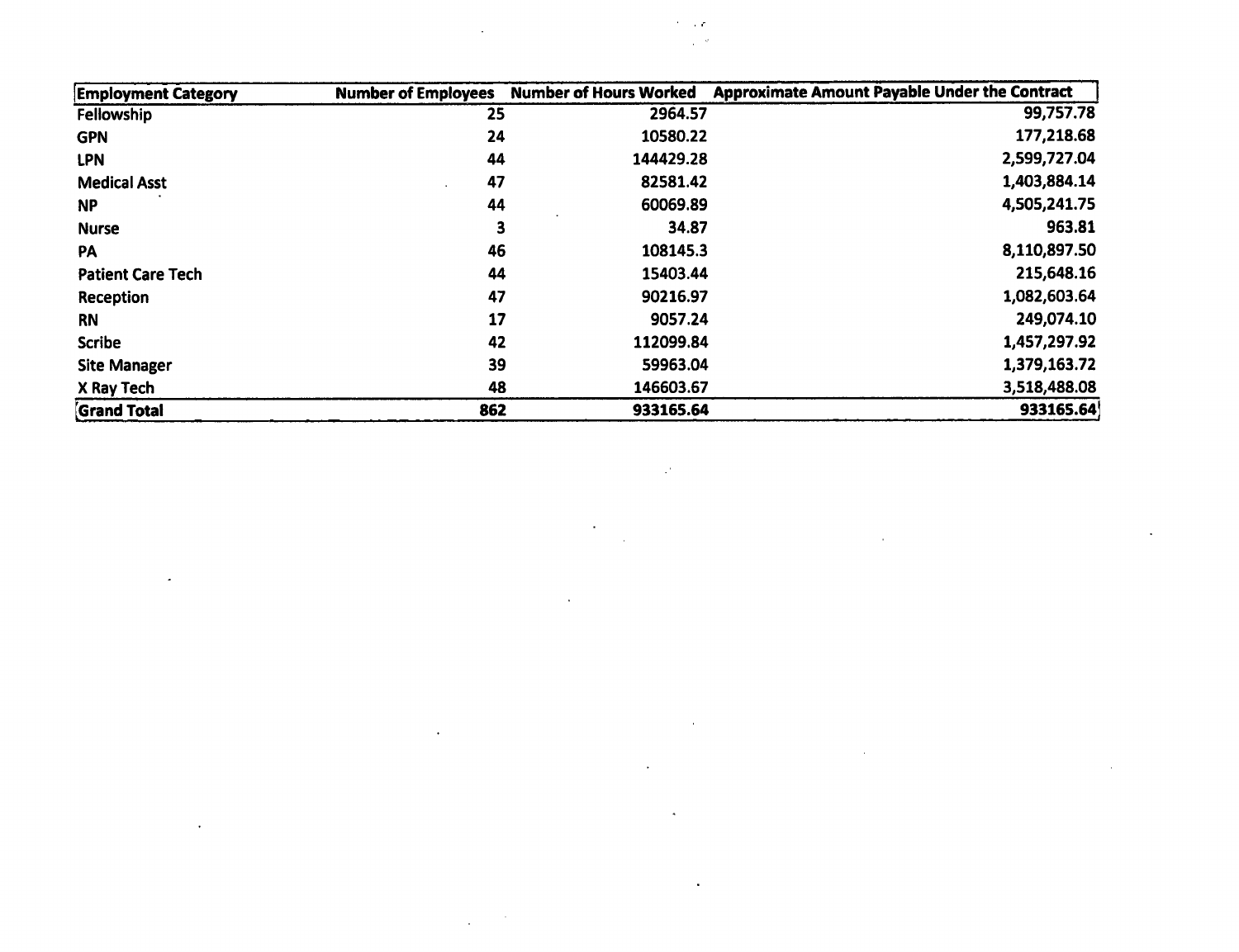| <b>Employment Category</b> | <b>Number of Employees</b> | <b>Number of Hours Worked</b> | <b>Approximate Amount Payable Under the Contract</b> |
|----------------------------|----------------------------|-------------------------------|------------------------------------------------------|
| Fellowship                 | 25                         | 2964.57                       | 99,757.78                                            |
| <b>GPN</b>                 | 24                         | 10580.22                      | 177,218.68                                           |
| <b>LPN</b>                 | 44                         | 144429.28                     | 2,599,727.04                                         |
| <b>Medical Asst</b>        | 47                         | 82581.42                      | 1,403,884.14                                         |
| <b>NP</b>                  | 44                         | 60069.89                      | 4,505,241.75                                         |
| <b>Nurse</b>               | 3                          | 34.87                         | 963.81                                               |
| <b>PA</b>                  | 46                         | 108145.3                      | 8,110,897.50                                         |
| <b>Patient Care Tech</b>   | 44                         | 15403.44                      | 215,648.16                                           |
| Reception                  | 47                         | 90216.97                      | 1,082,603.64                                         |
| <b>RN</b>                  | 17                         | 9057.24                       | 249,074.10                                           |
| <b>Scribe</b>              | 42                         | 112099.84                     | 1,457,297.92                                         |
| <b>Site Manager</b>        | 39                         | 59963.04                      | 1,379,163.72                                         |
| X Ray Tech                 | 48                         | 146603.67                     | 3,518,488.08                                         |
| <b>Grand Total</b>         | 862                        | 933165.64                     | 933165.64                                            |

 $\mathcal{L}^{\mathcal{L}}(\mathcal{L}^{\mathcal{L}})$  and  $\mathcal{L}^{\mathcal{L}}(\mathcal{L}^{\mathcal{L}})$  . The contribution of  $\mathcal{L}^{\mathcal{L}}$ 

 $\mathcal{L}^{\mathcal{L}}(\mathcal{L}^{\mathcal{L}})$  and  $\mathcal{L}^{\mathcal{L}}(\mathcal{L}^{\mathcal{L}})$  and  $\mathcal{L}^{\mathcal{L}}(\mathcal{L}^{\mathcal{L}})$ 

 $\mathcal{L}(\mathcal{L}(\mathcal{L}))$  and  $\mathcal{L}(\mathcal{L}(\mathcal{L}))$  and  $\mathcal{L}(\mathcal{L}(\mathcal{L}))$  . Then

 $\mathcal{L}(\mathcal{L}(\mathcal{L}(\mathcal{L}(\mathcal{L}(\mathcal{L}(\mathcal{L}(\mathcal{L}(\mathcal{L}(\mathcal{L}(\mathcal{L}(\mathcal{L}(\mathcal{L}(\mathcal{L}(\mathcal{L}(\mathcal{L}(\mathcal{L}(\mathcal{L}(\mathcal{L}(\mathcal{L}(\mathcal{L}(\mathcal{L}(\mathcal{L}(\mathcal{L}(\mathcal{L}(\mathcal{L}(\mathcal{L}(\mathcal{L}(\mathcal{L}(\mathcal{L}(\mathcal{L}(\mathcal{L}(\mathcal{L}(\mathcal{L}(\mathcal{L}(\mathcal{L}(\mathcal{$ 

 $\mathcal{L}(\mathcal{L}^{\mathcal{L}})$  and  $\mathcal{L}(\mathcal{L}^{\mathcal{L}})$  and  $\mathcal{L}(\mathcal{L}^{\mathcal{L}})$  and  $\mathcal{L}(\mathcal{L}^{\mathcal{L}})$